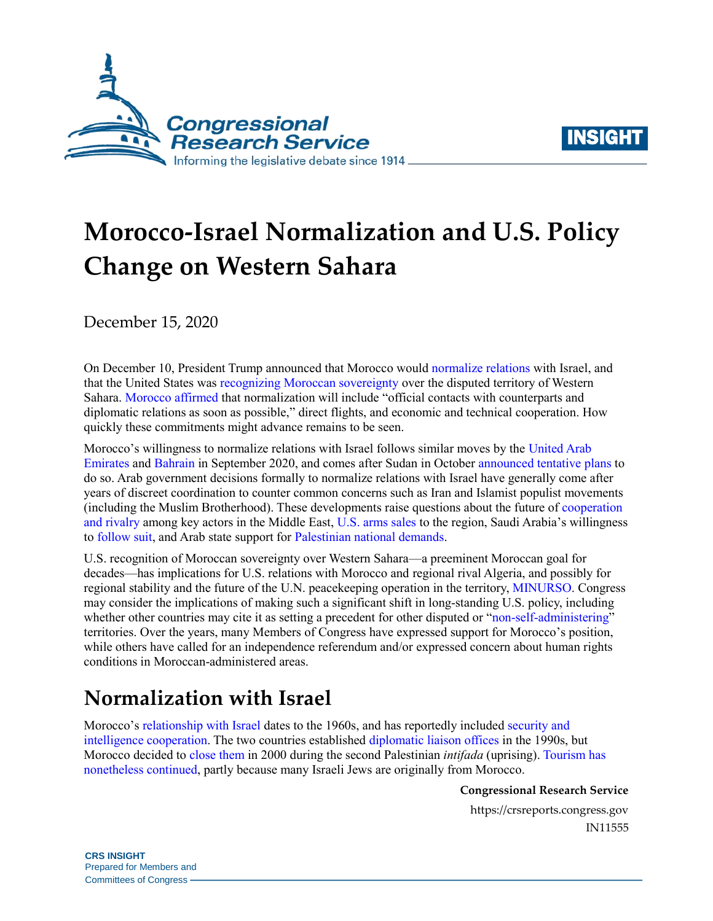



# **Morocco-Israel Normalization and U.S. Policy Change on Western Sahara**

December 15, 2020

On December 10, President Trump announced that Morocco would [normalize relations](https://twitter.com/realDonaldTrump/status/1337067073051238400?s=20) with Israel, and that the United States was [recognizing Moroccan sovereignty](https://www.whitehouse.gov/presidential-actions/proclamation-recognizing-sovereignty-kingdom-morocco-western-sahara/) over the disputed territory of Western Sahara. [Morocco](https://www.diplomatie.ma/en/his-majesty-king-mohammed-vi-had-phone-call-president-united-states-mr-donald-trump) [affirmed](https://www.diplomatie.ma/en/his-majesty-king-mohammed-vi-had-phone-call-president-united-states-mr-donald-trump) that normalization will include "official contacts with counterparts and diplomatic relations as soon as possible," direct flights, and economic and technical cooperation. How quickly these commitments might advance remains to be seen.

Morocco's willingness to normalize relations with Israel follows similar moves by the [United Arab](https://www.whitehouse.gov/briefings-statements/abraham-accords-peace-agreement-treaty-of-peace-diplomatic-relations-and-full-normalization-between-the-united-arab-emirates-and-the-state-of-israel/)  [Emirates](https://www.whitehouse.gov/briefings-statements/abraham-accords-peace-agreement-treaty-of-peace-diplomatic-relations-and-full-normalization-between-the-united-arab-emirates-and-the-state-of-israel/) and [Bahrain](https://www.whitehouse.gov/briefings-statements/abraham-accords-declaration-peace-cooperation-constructive-diplomatic-friendly-relations/) in September 2020, and comes after Sudan in October [announced tentative plans](https://www.timesofisrael.com/sudan-confirms-it-agreed-to-talk-to-israel-for-terror-delisting-economic-aid/) to do so. Arab government decisions formally to normalize relations with Israel have generally come after years of discreet coordination to counter common concerns such as Iran and Islamist populist movements (including the Muslim Brotherhood). These developments raise questions about the future o[f cooperation](https://www.mei.edu/publications/how-uae-israel-deal-could-change-regional-power-balance)  [and rivalry](https://www.mei.edu/publications/how-uae-israel-deal-could-change-regional-power-balance) among key actors in the Middle East, [U.S. arms sales](https://crsreports.congress.gov/product/pdf/R/R46580) to the region, Saudi Arabia's willingness to [follow suit,](https://www.inss.org.il/publication/saudia-israel-normalization/) and Arab state support for [Palestinian national demands.](https://crsreports.congress.gov/product/pdf/R/R44245#_Toc50967180)

U.S. recognition of Moroccan sovereignty over Western Sahara—a preeminent Moroccan goal for decades—has implications for U.S. relations with Morocco and regional rival Algeria, and possibly for regional stability and the future of the U.N. peacekeeping operation in the territory, [MINURSO.](https://minurso.unmissions.org/) Congress may consider the implications of making such a significant shift in long-standing U.S. policy, including whether other countries may cite it as setting a precedent for other disputed or ["non-self-administering"](https://www.un.org/dppa/decolonization/en/nsgt/western-sahara) territories. Over the years, many Members of Congress have expressed support for Morocco's position, while others have called for an independence referendum and/or expressed concern about human rights conditions in Moroccan-administered areas.

# **Normalization with Israel**

Morocco's [relationship with Israel](https://www.axios.com/morocco-israel-deal-trump-recognize-western-sahara-a8685253-2b7b-4682-88c9-f3b85bbede68.html) dates to the 1960s, and has reportedly included [security and](https://www.nytimes.com/2020/12/10/world/middleeast/Israel-morocco-cooperation-history.html)  [intelligence cooperation.](https://www.nytimes.com/2020/12/10/world/middleeast/Israel-morocco-cooperation-history.html) The two countries established [diplomatic liaison offices](https://mitvim.org.il/wp-content/uploads/Einat_Levi_-_Israel_and_Morocco_-_Cooperation_Rooted_in_Heritage_-_September_2018.pdf) in the 1990s, but Morocco decided t[o close t](https://mfa.gov.il/MFA/PressRoom/2000/Pages/Israel-Morocco%20-%20Closing%20of%20Liaison%20Offices.aspx)hem in 2000 during the second Palestinian *intifada* (uprising). [Tourism has](https://www.moroccoworldnews.com/2019/06/276254/israeli-tourists-morocco-jews/)  [nonetheless continued,](https://www.moroccoworldnews.com/2019/06/276254/israeli-tourists-morocco-jews/) partly because many Israeli Jews are originally from Morocco.

**Congressional Research Service**

https://crsreports.congress.gov IN11555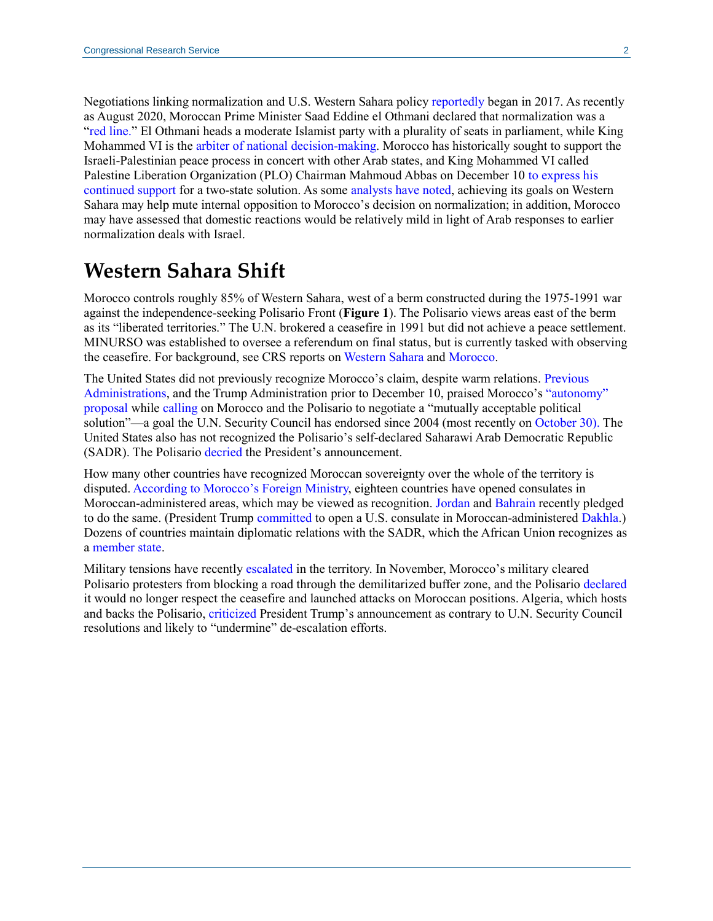Negotiations linking normalization and U.S. Western Sahara policy [reportedly](https://www.nytimes.com/2020/12/10/world/middleeast/israel-morocco-trump.html) began in 2017. As recently as August 2020, Moroccan Prime Minister Saad Eddine el Othmani declared that normalization was a ["red line.](https://www.middleeasteye.net/news/uae-israel-deal-morocco-rejects-normalisation-first-reaction)" El Othmani heads a moderate Islamist party with a plurality of seats in parliament, while King Mohammed VI is the [arbiter of national decision-making.](https://crsreports.congress.gov/product/pdf/R/R45387#_Toc43997499) Morocco has historically sought to support the Israeli-Palestinian peace process in concert with other Arab states, and King Mohammed VI called Palestine Liberation Organization (PLO) Chairman Mahmoud Abbas on December 1[0 to express his](https://www.diplomatie.ma/en/phone-call-between-his-majesty-king-mohammed-vi-and-his-excellency-mahmoud-abbas-abu-mazen-president-palestinian-national-authority)  [continued](https://www.diplomatie.ma/en/phone-call-between-his-majesty-king-mohammed-vi-and-his-excellency-mahmoud-abbas-abu-mazen-president-palestinian-national-authority) support for a two-state solution. As some [analysts have noted,](https://www.youtube.com/watch?v=At776t0Fdss) achieving its goals on Western Sahara may help mute internal opposition to Morocco's decision on normalization; in addition, Morocco may have assessed that domestic reactions would be relatively mild in light of Arab responses to earlier normalization deals with Israel.

### **Western Sahara Shift**

Morocco controls roughly 85% of Western Sahara, west of a berm constructed during the 1975-1991 war against the independence-seeking Polisario Front (**Figure 1**). The Polisario views areas east of the berm as its "liberated territories." The U.N. brokered a ceasefire in 1991 but did not achieve a peace settlement. MINURSO was established to oversee a referendum on final status, but is currently tasked with observing the ceasefire. For background, see CRS reports o[n Western Sahara](https://crsreports.congress.gov/product/pdf/RS/RS20962) and [Morocco.](https://crsreports.congress.gov/product/pdf/R/R45387)

The United States did not previously recognize Morocco's claim, despite warm relations. [Previous](https://obamawhitehouse.archives.gov/the-press-office/2013/11/22/joint-statement-united-states-america-and-kingdom-morocco)  [Administrations,](https://obamawhitehouse.archives.gov/the-press-office/2013/11/22/joint-statement-united-states-america-and-kingdom-morocco) and the Trump Administration prior to December 10, praised Morocco's ["autonomy"](http://www.moroccoembassy.org.au/?q=full-text-moroccan-initiative-autonomy-plan)  [proposal](http://www.moroccoembassy.org.au/?q=full-text-moroccan-initiative-autonomy-plan) while [calling](https://usun.usmission.gov/explanation-of-vote-on-the-mandate-renewal-of-the-un-mission-for-the-referendum-in-western-sahara-via-vtc/) on Morocco and the Polisario to negotiate a "mutually acceptable political solution"—a goal the U.N. Security Council has endorsed since 2004 (most recently on [October 30\)](https://undocs.org/en/S/RES/2548(2020)). The United States also has not recognized the Polisario's self-declared Saharawi Arab Democratic Republic (SADR). The Polisari[o decried](https://soundcloud.com/jasonpatinkin/polisario-fronts-mouloud-said-on-trumps-stance-on-western-sahara-violates-international-law) the President's announcement.

How many other countries have recognized Moroccan sovereignty over the whole of the territory is disputed[. According to Morocco's Foreign Ministry,](https://www.facebook.com/MarocDiplomatie/photos/pcb.3565914636832545/3565914133499262/?type=3&theater) eighteen countries have opened consulates in Moroccan-administered areas, which may be viewed as recognition. [Jordan](https://www.reuters.com/article/us-morocco-jordan-western-sahara/jordan-to-open-consulate-in-western-sahara-amid-dispute-idUSKBN27Z30U) and [Bahrain](https://www.moroccoworldnews.com/2020/11/327193/bahrain-to-open-consulate-general-in-moroccos-laayoune/) recently pledged to do the same. (President Trump [committed](https://www.whitehouse.gov/presidential-actions/proclamation-recognizing-sovereignty-kingdom-morocco-western-sahara/) to open a U.S. consulate in Moroccan-administered [Dakhla.](https://www.google.com/maps/place/Dakhla+73000/@24.445951,-17.8395997,7.17z/data=!4m5!3m4!1s0xc2248393aa06243:0x2572dbf2ee5f0172!8m2!3d23.7221111!4d-15.9347384)) Dozens of countries maintain diplomatic relations with the SADR, which the African Union recognizes as a [member state.](https://au.int/memberstates)

Military tensions have recently [escalated](https://www.un.org/sg/en/content/sg/statement/2020-11-13/statement-attributable-the-spokesperson-for-the-secretary-general-western-sahara) in the territory. In November, Morocco's military cleared Polisario protesters from blocking a road through the demilitarized buffer zone, and the Polisario [declared](https://www.spsrasd.info/news/en/articles/2020/11/14/28491.html) it would no longer respect the ceasefire and launched attacks on Moroccan positions. Algeria, which hosts and backs the Polisario, [criticized](https://www.reuters.com/article/algeria-westernsahara-usa/algeria-rejects-trumps-stance-on-western-sahara-idUSKBN28M0MZ) President Trump's announcement as contrary to U.N. Security Council resolutions and likely to "undermine" de-escalation efforts.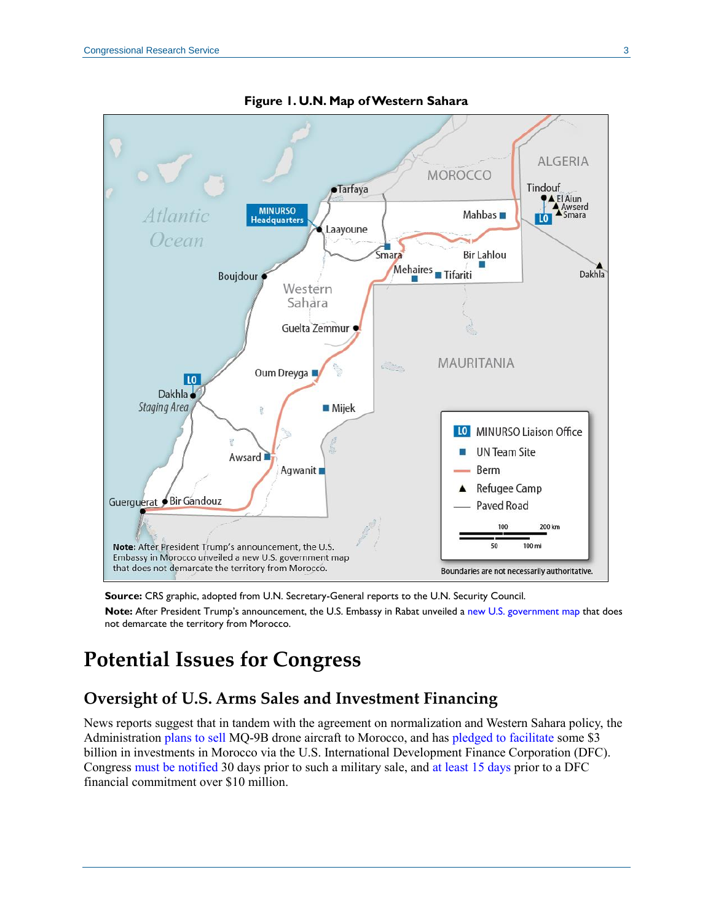

**Figure 1. U.N. Map of Western Sahara**

**Source:** CRS graphic, adopted from U.N. Secretary-General reports to the U.N. Security Council.

**Note:** After President Trump's announcement, the U.S. Embassy in Rabat unveiled a [new U.S. government map](https://ma.usembassy.gov/ambassador-david-fischer-spoke-to-reporters-about-the-historic-white-house-announcement/) that does not demarcate the territory from Morocco.

## **Potential Issues for Congress**

#### **Oversight of U.S. Arms Sales and Investment Financing**

News reports suggest that in tandem with the agreement on normalization and Western Sahara policy, the Administration plans [to sell](https://www.reuters.com/article/us-usa-morocco-drones-exclusive/exclusive-u-s-nears-sale-of-four-sophisticated-drones-to-morocco-sources-idUSKBN28K2R4) MQ-9B drone aircraft to Morocco, and has [pledged to facilitate](https://www.nytimes.com/2020/12/10/world/middleeast/israel-morocco-trump.html) some \$3 billion in investments in Morocco via the U.S. International Development Finance Corporation (DFC). Congres[s must be](https://crsreports.congress.gov/product/pdf/RL/RL31675) notified 30 days prior to such a military sale, and [at least 15 days](https://www.congress.gov/bill/115th-congress/house-bill/302/text?q=%7B%22search%22%3A%5B%22cite%3APL115-254%22%5D%7D&r=1&s=1) prior to a DFC financial commitment over \$10 million.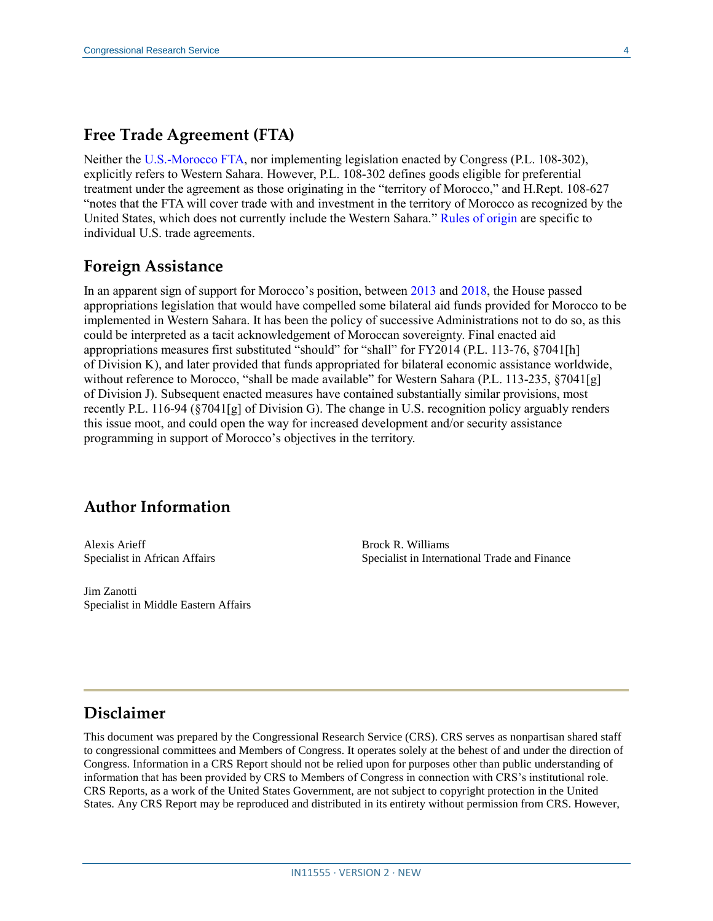#### **Free Trade Agreement (FTA)**

Neither the [U.S.-Morocco FTA,](https://ustr.gov/trade-agreements/free-trade-agreements/morocco-fta/final-text) nor implementing legislation enacted by Congress [\(P.L. 108-302\)](http://www.congress.gov/cgi-lis/bdquery/R?d108:FLD002:@1(108+302)), explicitly refers to Western Sahara. However, [P.L. 108-302](http://www.congress.gov/cgi-lis/bdquery/R?d108:FLD002:@1(108+302)) defines goods eligible for preferential treatment under the agreement as those originating in the "territory of Morocco," and [H.Rept. 108-627](http://www.congress.gov/cgi-lis/cpquery/R?cp108:FLD010:@1(hr627):) "notes that the FTA will cover trade with and investment in the territory of Morocco as recognized by the United States, which does not currently include the Western Sahara." [Rules of origin](https://crsreports.congress.gov/product/pdf/RL/RL34524) are specific to individual U.S. trade agreements.

#### **Foreign Assistance**

In an apparent sign of support for Morocco's position, betwee[n 2013](https://www.congress.gov/bill/113th-congress/house-bill/2855/text) and [2018,](https://www.congress.gov/bill/115th-congress/house-bill/6385/text?q=%7B%22search%22%3A%22%5C%22foreign+operations%5C%22%22%7D&r=2&s=2) the House passed appropriations legislation that would have compelled some bilateral aid funds provided for Morocco to be implemented in Western Sahara. It has been the policy of successive Administrations not to do so, as this could be interpreted as a tacit acknowledgement of Moroccan sovereignty. Final enacted aid appropriations measures first substituted "should" for "shall" for FY2014 [\(P.L. 113-76,](http://www.congress.gov/cgi-lis/bdquery/R?d113:FLD002:@1(113+76)) §7041[h] of Division K), and later provided that funds appropriated for bilateral economic assistance worldwide, without reference to Morocco, "shall be made available" for Western Sahara [\(P.L. 113-235,](http://www.congress.gov/cgi-lis/bdquery/R?d113:FLD002:@1(113+235)) §7041[g] of Division J). Subsequent enacted measures have contained substantially similar provisions, most recently [P.L. 116-94](http://www.congress.gov/cgi-lis/bdquery/R?d116:FLD002:@1(116+94)) (§7041[g] of Division G). The change in U.S. recognition policy arguably renders this issue moot, and could open the way for increased development and/or security assistance programming in support of Morocco's objectives in the territory.

#### **Author Information**

Alexis Arieff Specialist in African Affairs Brock R. Williams Specialist in International Trade and Finance

Jim Zanotti Specialist in Middle Eastern Affairs

#### **Disclaimer**

This document was prepared by the Congressional Research Service (CRS). CRS serves as nonpartisan shared staff to congressional committees and Members of Congress. It operates solely at the behest of and under the direction of Congress. Information in a CRS Report should not be relied upon for purposes other than public understanding of information that has been provided by CRS to Members of Congress in connection with CRS's institutional role. CRS Reports, as a work of the United States Government, are not subject to copyright protection in the United States. Any CRS Report may be reproduced and distributed in its entirety without permission from CRS. However,